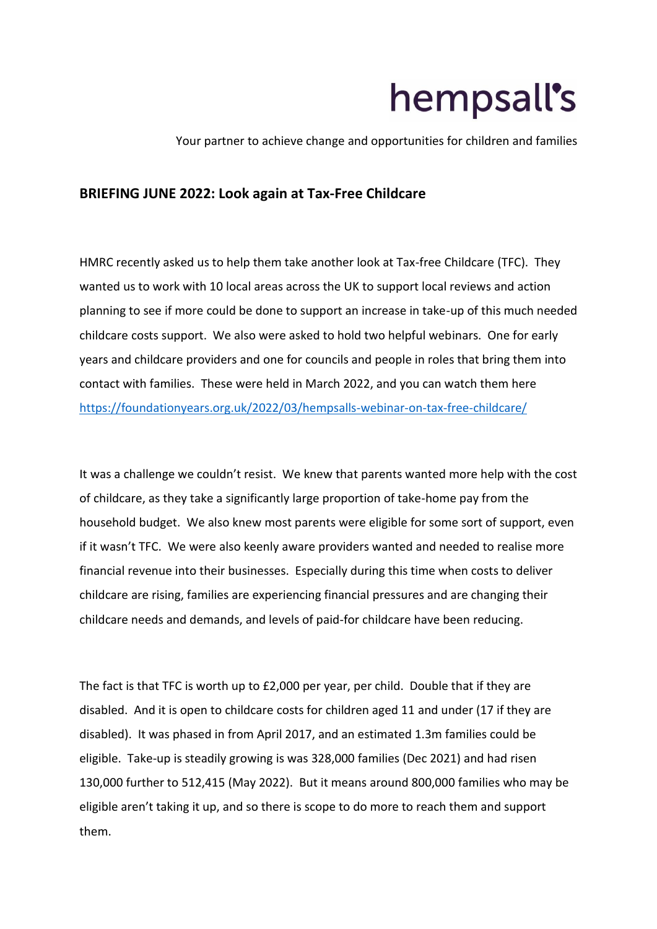## hempsall's

Your partner to achieve change and opportunities for children and families

## **BRIEFING JUNE 2022: Look again at Tax-Free Childcare**

HMRC recently asked us to help them take another look at Tax-free Childcare (TFC). They wanted us to work with 10 local areas across the UK to support local reviews and action planning to see if more could be done to support an increase in take-up of this much needed childcare costs support. We also were asked to hold two helpful webinars. One for early years and childcare providers and one for councils and people in roles that bring them into contact with families. These were held in March 2022, and you can watch them here <https://foundationyears.org.uk/2022/03/hempsalls-webinar-on-tax-free-childcare/>

It was a challenge we couldn't resist. We knew that parents wanted more help with the cost of childcare, as they take a significantly large proportion of take-home pay from the household budget. We also knew most parents were eligible for some sort of support, even if it wasn't TFC. We were also keenly aware providers wanted and needed to realise more financial revenue into their businesses. Especially during this time when costs to deliver childcare are rising, families are experiencing financial pressures and are changing their childcare needs and demands, and levels of paid-for childcare have been reducing.

The fact is that TFC is worth up to £2,000 per year, per child. Double that if they are disabled. And it is open to childcare costs for children aged 11 and under (17 if they are disabled). It was phased in from April 2017, and an estimated 1.3m families could be eligible. Take-up is steadily growing is was 328,000 families (Dec 2021) and had risen 130,000 further to 512,415 (May 2022). But it means around 800,000 families who may be eligible aren't taking it up, and so there is scope to do more to reach them and support them.